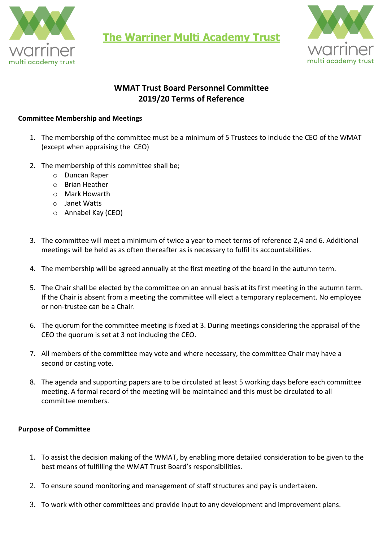

**The Warriner Multi Academy Trust**



## **WMAT Trust Board Personnel Committee 2019/20 Terms of Reference**

## **Committee Membership and Meetings**

- 1. The membership of the committee must be a minimum of 5 Trustees to include the CEO of the WMAT (except when appraising the CEO)
- 2. The membership of this committee shall be;
	- o Duncan Raper
	- o Brian Heather
	- o Mark Howarth
	- o Janet Watts
	- o Annabel Kay (CEO)
- 3. The committee will meet a minimum of twice a year to meet terms of reference 2,4 and 6. Additional meetings will be held as as often thereafter as is necessary to fulfil its accountabilities.
- 4. The membership will be agreed annually at the first meeting of the board in the autumn term.
- 5. The Chair shall be elected by the committee on an annual basis at its first meeting in the autumn term. If the Chair is absent from a meeting the committee will elect a temporary replacement. No employee or non-trustee can be a Chair.
- 6. The quorum for the committee meeting is fixed at 3. During meetings considering the appraisal of the CEO the quorum is set at 3 not including the CEO.
- 7. All members of the committee may vote and where necessary, the committee Chair may have a second or casting vote.
- 8. The agenda and supporting papers are to be circulated at least 5 working days before each committee meeting. A formal record of the meeting will be maintained and this must be circulated to all committee members.

## **Purpose of Committee**

- 1. To assist the decision making of the WMAT, by enabling more detailed consideration to be given to the best means of fulfilling the WMAT Trust Board's responsibilities.
- 2. To ensure sound monitoring and management of staff structures and pay is undertaken.
- 3. To work with other committees and provide input to any development and improvement plans.